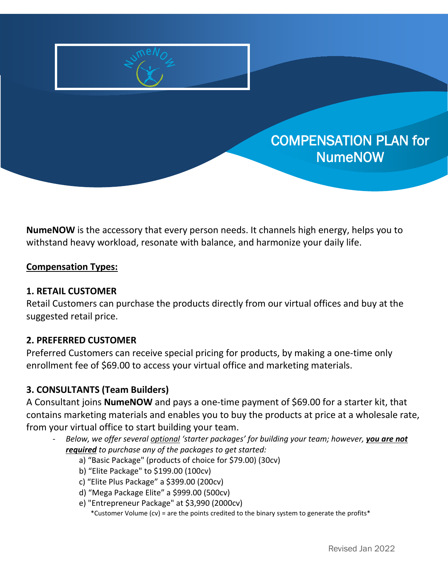

# COMPENSATION PLAN for NumeNOW

**NumeNOW** is the accessory that every person needs. It channels high energy, helps you to withstand heavy workload, resonate with balance, and harmonize your daily life.

## **Compensation Types:**

#### **1. RETAIL CUSTOMER**

Retail Customers can purchase the products directly from our virtual offices and buy at the suggested retail price.

## **2. PREFERRED CUSTOMER**

Preferred Customers can receive special pricing for products, by making a one-time only enrollment fee of \$69.00 to access your virtual office and marketing materials.

## **3. CONSULTANTS (Team Builders)**

A Consultant joins **NumeNOW** and pays a one-time payment of \$69.00 for a starter kit, that contains marketing materials and enables you to buy the products at price at a wholesale rate, from your virtual office to start building your team.

- *Below, we offer several optional 'starter packages' for building your team; however, you are not required to purchase any of the packages to get started:* 
	- a) "Basic Package" (products of choice for \$79.00) (30cv)
	- b) "Elite Package" to \$199.00 (100cv)
	- c) "Elite Plus Package" a \$399.00 (200cv)
	- d) "Mega Package Elite" a \$999.00 (500cv)
	- e) "Entrepreneur Package" at \$3,990 (2000cv)

\*Customer Volume (cv) = are the points credited to the binary system to generate the profits\*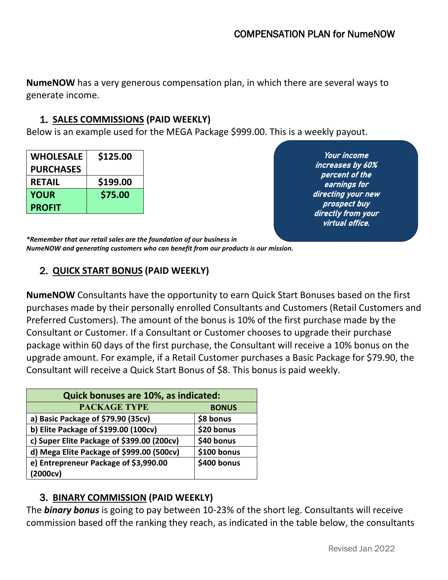**NumeNOW** has a very generous compensation plan, in which there are several ways to generate income.

## 1. **SALES COMMISSIONS (PAID WEEKLY)**

Below is an example used for the MEGA Package \$999.00. This is a weekly payout.

| <b>WHOLESALE</b> | \$125.00 |
|------------------|----------|
| <b>PURCHASES</b> |          |
| <b>RETAIL</b>    | \$199.00 |
| <b>YOUR</b>      | \$75.00  |
| <b>PROFIT</b>    |          |

Your income increases by 60% percent of the earnings for directing your new prospect buy directly from your virtual office.

*\*Remember that our retail sales are the foundation of our business in NumeNOW and generating customers who can benefit from our products is our mission.* 

## 2. **QUICK START BONUS (PAID WEEKLY)**

**NumeNOW** Consultants have the opportunity to earn Quick Start Bonuses based on the first purchases made by their personally enrolled Consultants and Customers (Retail Customers and Preferred Customers). The amount of the bonus is 10% of the first purchase made by the Consultant or Customer. If a Consultant or Customer chooses to upgrade their purchase package within 60 days of the first purchase, the Consultant will receive a 10% bonus on the upgrade amount. For example, if a Retail Customer purchases a Basic Package for \$79.90, the Consultant will receive a Quick Start Bonus of \$8. This bonus is paid weekly.

| Quick bonuses are 10%, as indicated:       |              |  |
|--------------------------------------------|--------------|--|
| <b>PACKAGE TYPE</b>                        | <b>BONUS</b> |  |
| a) Basic Package of \$79.90 (35cv)         | \$8 bonus    |  |
| b) Elite Package of \$199.00 (100cv)       | \$20 bonus   |  |
| c) Super Elite Package of \$399.00 (200cv) | \$40 bonus   |  |
| d) Mega Elite Package of \$999.00 (500cv)  | \$100 bonus  |  |
| e) Entrepreneur Package of \$3,990.00      | \$400 bonus  |  |
| (2000cv)                                   |              |  |

## 3. **BINARY COMMISSION (PAID WEEKLY)**

The *binary bonus* is going to pay between 10-23% of the short leg. Consultants will receive commission based off the ranking they reach, as indicated in the table below, the consultants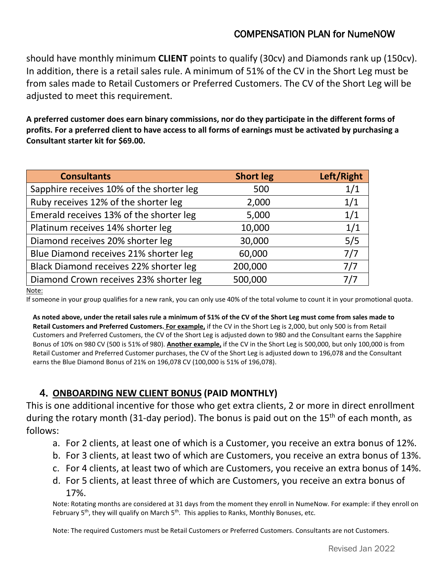## COMPENSATION PLAN for NumeNOW

should have monthly minimum **CLIENT** points to qualify (30cv) and Diamonds rank up (150cv). In addition, there is a retail sales rule. A minimum of 51% of the CV in the Short Leg must be from sales made to Retail Customers or Preferred Customers. The CV of the Short Leg will be adjusted to meet this requirement.

**A preferred customer does earn binary commissions, nor do they participate in the different forms of profits. For a preferred client to have access to all forms of earnings must be activated by purchasing a Consultant starter kit for \$69.00.**

| <b>Consultants</b>                       | <b>Short leg</b> | Left/Right |
|------------------------------------------|------------------|------------|
| Sapphire receives 10% of the shorter leg | 500              | 1/1        |
| Ruby receives 12% of the shorter leg     | 2,000            | 1/1        |
| Emerald receives 13% of the shorter leg  | 5,000            | 1/1        |
| Platinum receives 14% shorter leg        | 10,000           | 1/1        |
| Diamond receives 20% shorter leg         | 30,000           | 5/5        |
| Blue Diamond receives 21% shorter leg    | 60,000           | 7/7        |
| Black Diamond receives 22% shorter leg   | 200,000          | 7/7        |
| Diamond Crown receives 23% shorter leg   | 500,000          | 7/7        |

Note:

If someone in your group qualifies for a new rank, you can only use 40% of the total volume to count it in your promotional quota.

**As noted above, under the retail sales rule a minimum of 51% of the CV of the Short Leg must come from sales made to Retail Customers and Preferred Customers. For example,** if the CV in the Short Leg is 2,000, but only 500 is from Retail Customers and Preferred Customers, the CV of the Short Leg is adjusted down to 980 and the Consultant earns the Sapphire Bonus of 10% on 980 CV (500 is 51% of 980). **Another example,** if the CV in the Short Leg is 500,000, but only 100,000 is from Retail Customer and Preferred Customer purchases, the CV of the Short Leg is adjusted down to 196,078 and the Consultant earns the Blue Diamond Bonus of 21% on 196,078 CV (100,000 is 51% of 196,078).

## 4. **ONBOARDING NEW CLIENT BONUS (PAID MONTHLY)**

This is one additional incentive for those who get extra clients, 2 or more in direct enrollment during the rotary month (31-day period). The bonus is paid out on the 15<sup>th</sup> of each month, as follows:

- a. For 2 clients, at least one of which is a Customer, you receive an extra bonus of 12%.
- b. For 3 clients, at least two of which are Customers, you receive an extra bonus of 13%.
- c. For 4 clients, at least two of which are Customers, you receive an extra bonus of 14%.
- d. For 5 clients, at least three of which are Customers, you receive an extra bonus of 17%.

Note: Rotating months are considered at 31 days from the moment they enroll in NumeNow. For example: if they enroll on February  $5<sup>th</sup>$ , they will qualify on March  $5<sup>th</sup>$ . This applies to Ranks, Monthly Bonuses, etc.

Note: The required Customers must be Retail Customers or Preferred Customers. Consultants are not Customers.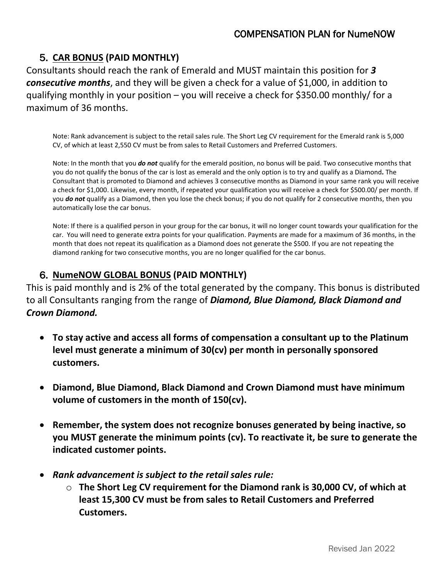## 5. **CAR BONUS (PAID MONTHLY)**

Consultants should reach the rank of Emerald and MUST maintain this position for *3 consecutive months*, and they will be given a check for a value of \$1,000, in addition to qualifying monthly in your position – you will receive a check for \$350.00 monthly/ for a maximum of 36 months.

Note: Rank advancement is subject to the retail sales rule. The Short Leg CV requirement for the Emerald rank is 5,000 CV, of which at least 2,550 CV must be from sales to Retail Customers and Preferred Customers.

Note: In the month that you *do not* qualify for the emerald position, no bonus will be paid. Two consecutive months that you do not qualify the bonus of the car is lost as emerald and the only option is to try and qualify as a Diamond**.** The Consultant that is promoted to Diamond and achieves 3 consecutive months as Diamond in your same rank you will receive a check for \$1,000. Likewise, every month, if repeated your qualification you will receive a check for \$500.00/ per month. If you *do not* qualify as a Diamond, then you lose the check bonus; if you do not qualify for 2 consecutive months, then you automatically lose the car bonus.

Note: If there is a qualified person in your group for the car bonus, it will no longer count towards your qualification for the car. You will need to generate extra points for your qualification. Payments are made for a maximum of 36 months, in the month that does not repeat its qualification as a Diamond does not generate the \$500. If you are not repeating the diamond ranking for two consecutive months, you are no longer qualified for the car bonus.

## 6. **NumeNOW GLOBAL BONUS (PAID MONTHLY)**

This is paid monthly and is 2% of the total generated by the company. This bonus is distributed to all Consultants ranging from the range of *Diamond, Blue Diamond, Black Diamond and Crown Diamond.*

- **To stay active and access all forms of compensation a consultant up to the Platinum level must generate a minimum of 30(cv) per month in personally sponsored customers.**
- **Diamond, Blue Diamond, Black Diamond and Crown Diamond must have minimum volume of customers in the month of 150(cv).**
- **Remember, the system does not recognize bonuses generated by being inactive, so you MUST generate the minimum points (cv). To reactivate it, be sure to generate the indicated customer points.**
- *Rank advancement is subject to the retail sales rule:* 
	- o **The Short Leg CV requirement for the Diamond rank is 30,000 CV, of which at least 15,300 CV must be from sales to Retail Customers and Preferred Customers.**